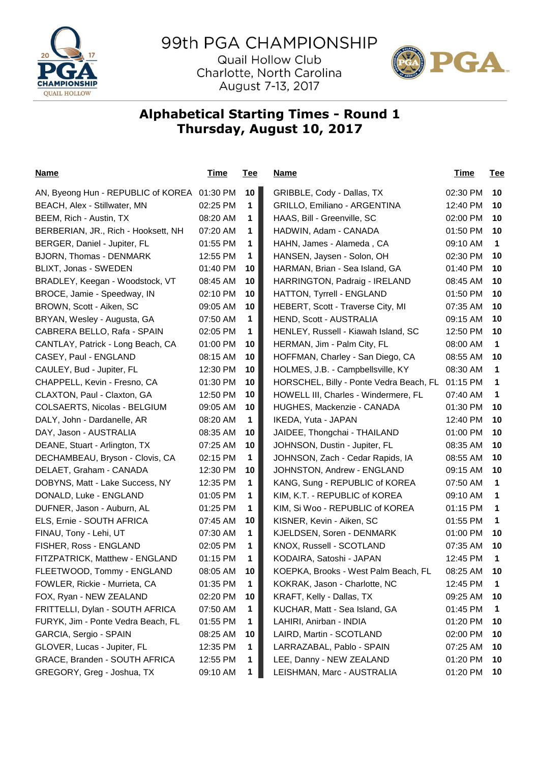

## 99th PGA CHAMPIONSHIP

Quail Hollow Club Charlotte, North Carolina August 7-13, 2017



## **Alphabetical Starting Times - Round 1 Thursday, August 10, 2017**

| <u>Name</u>                                 | <u>Time</u> | <b>Tee</b> | <u>Name</u>                             | <u>Time</u> | <b>Tee</b>   |
|---------------------------------------------|-------------|------------|-----------------------------------------|-------------|--------------|
| AN, Byeong Hun - REPUBLIC of KOREA 01:30 PM |             | 10         | GRIBBLE, Cody - Dallas, TX              | 02:30 PM    | 10           |
| BEACH, Alex - Stillwater, MN                | 02:25 PM    | 1          | GRILLO, Emiliano - ARGENTINA            | 12:40 PM    | 10           |
| BEEM, Rich - Austin, TX                     | 08:20 AM    | 1          | HAAS, Bill - Greenville, SC             | 02:00 PM    | 10           |
| BERBERIAN, JR., Rich - Hooksett, NH         | 07:20 AM    | 1          | HADWIN, Adam - CANADA                   | 01:50 PM    | 10           |
| BERGER, Daniel - Jupiter, FL                | 01:55 PM    | 1          | HAHN, James - Alameda, CA               | 09:10 AM    | 1            |
| BJORN, Thomas - DENMARK                     | 12:55 PM    | 1          | HANSEN, Jaysen - Solon, OH              | 02:30 PM    | 10           |
| BLIXT, Jonas - SWEDEN                       | 01:40 PM    | 10         | HARMAN, Brian - Sea Island, GA          | 01:40 PM    | 10           |
| BRADLEY, Keegan - Woodstock, VT             | 08:45 AM    | 10         | HARRINGTON, Padraig - IRELAND           | 08:45 AM    | 10           |
| BROCE, Jamie - Speedway, IN                 | 02:10 PM    | 10         | HATTON, Tyrrell - ENGLAND               | 01:50 PM    | 10           |
| BROWN, Scott - Aiken, SC                    | 09:05 AM    | 10         | HEBERT, Scott - Traverse City, MI       | 07:35 AM    | 10           |
| BRYAN, Wesley - Augusta, GA                 | 07:50 AM    | 1          | HEND, Scott - AUSTRALIA                 | 09:15 AM    | 10           |
| CABRERA BELLO, Rafa - SPAIN                 | 02:05 PM    | 1          | HENLEY, Russell - Kiawah Island, SC     | 12:50 PM    | 10           |
| CANTLAY, Patrick - Long Beach, CA           | 01:00 PM    | 10         | HERMAN, Jim - Palm City, FL             | 08:00 AM    | 1            |
| CASEY, Paul - ENGLAND                       | 08:15 AM    | 10         | HOFFMAN, Charley - San Diego, CA        | 08:55 AM    | 10           |
| CAULEY, Bud - Jupiter, FL                   | 12:30 PM    | 10         | HOLMES, J.B. - Campbellsville, KY       | 08:30 AM    | 1            |
| CHAPPELL, Kevin - Fresno, CA                | 01:30 PM    | 10         | HORSCHEL, Billy - Ponte Vedra Beach, FL | 01:15 PM    | 1            |
| CLAXTON, Paul - Claxton, GA                 | 12:50 PM    | 10         | HOWELL III, Charles - Windermere, FL    | 07:40 AM    | $\mathbf 1$  |
| COLSAERTS, Nicolas - BELGIUM                | 09:05 AM    | 10         | HUGHES, Mackenzie - CANADA              | 01:30 PM    | 10           |
| DALY, John - Dardanelle, AR                 | 08:20 AM    | 1          | IKEDA, Yuta - JAPAN                     | 12:40 PM    | 10           |
| DAY, Jason - AUSTRALIA                      | 08:35 AM    | 10         | JAIDEE, Thongchai - THAILAND            | 01:00 PM    | 10           |
| DEANE, Stuart - Arlington, TX               | 07:25 AM    | 10         | JOHNSON, Dustin - Jupiter, FL           | 08:35 AM    | 10           |
| DECHAMBEAU, Bryson - Clovis, CA             | 02:15 PM    | 1          | JOHNSON, Zach - Cedar Rapids, IA        | 08:55 AM    | 10           |
| DELAET, Graham - CANADA                     | 12:30 PM    | 10         | JOHNSTON, Andrew - ENGLAND              | 09:15 AM    | 10           |
| DOBYNS, Matt - Lake Success, NY             | 12:35 PM    | 1          | KANG, Sung - REPUBLIC of KOREA          | 07:50 AM    | $\mathbf 1$  |
| DONALD, Luke - ENGLAND                      | 01:05 PM    | 1          | KIM, K.T. - REPUBLIC of KOREA           | 09:10 AM    | $\mathbf 1$  |
| DUFNER, Jason - Auburn, AL                  | 01:25 PM    | 1          | KIM, Si Woo - REPUBLIC of KOREA         | 01:15 PM    | 1            |
| ELS, Ernie - SOUTH AFRICA                   | 07:45 AM    | 10         | KISNER, Kevin - Aiken, SC               | 01:55 PM    | 1            |
| FINAU, Tony - Lehi, UT                      | 07:30 AM    | 1          | KJELDSEN, Soren - DENMARK               | 01:00 PM    | 10           |
| FISHER, Ross - ENGLAND                      | 02:05 PM    | 1          | KNOX, Russell - SCOTLAND                | 07:35 AM    | 10           |
| FITZPATRICK, Matthew - ENGLAND              | 01:15 PM    | 1          | KODAIRA, Satoshi - JAPAN                | 12:45 PM    | $\mathbf{1}$ |
| FLEETWOOD, Tommy - ENGLAND                  | 08:05 AM    | 10         | KOEPKA, Brooks - West Palm Beach, FL    | 08:25 AM    | 10           |
| FOWLER, Rickie - Murrieta, CA               | 01:35 PM    | 1          | KOKRAK, Jason - Charlotte, NC           | 12:45 PM    | $\mathbf 1$  |
| FOX, Ryan - NEW ZEALAND                     | 02:20 PM    | 10         | KRAFT, Kelly - Dallas, TX               | 09:25 AM    | 10           |
| FRITTELLI, Dylan - SOUTH AFRICA             | 07:50 AM    | 1          | KUCHAR, Matt - Sea Island, GA           | 01:45 PM    | $\mathbf 1$  |
| FURYK, Jim - Ponte Vedra Beach, FL          | 01:55 PM    | 1          | LAHIRI, Anirban - INDIA                 | 01:20 PM    | 10           |
| GARCIA, Sergio - SPAIN                      | 08:25 AM    | 10         | LAIRD, Martin - SCOTLAND                | 02:00 PM    | 10           |
| GLOVER, Lucas - Jupiter, FL                 | 12:35 PM    | 1          | LARRAZABAL, Pablo - SPAIN               | 07:25 AM    | 10           |
| GRACE, Branden - SOUTH AFRICA               | 12:55 PM    | 1          | LEE, Danny - NEW ZEALAND                | 01:20 PM    | 10           |
| GREGORY, Greg - Joshua, TX                  | 09:10 AM    | 1          | LEISHMAN, Marc - AUSTRALIA              | 01:20 PM    | 10           |